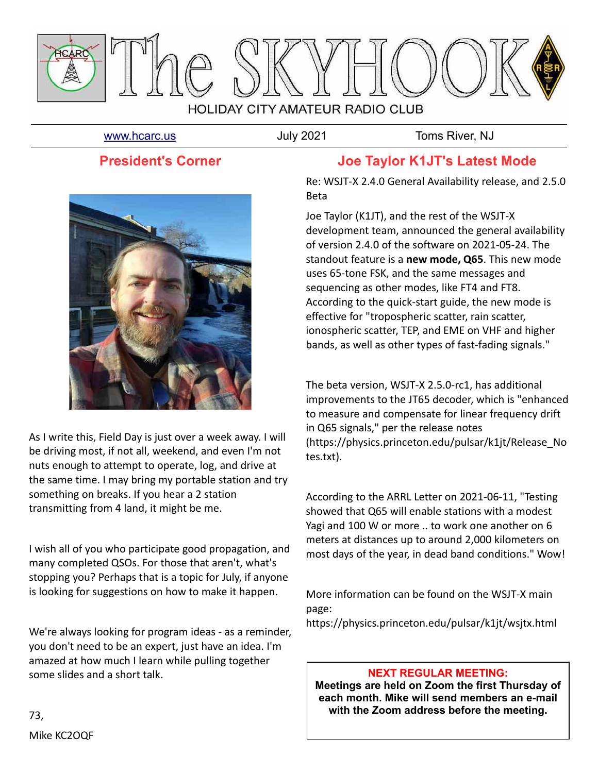

[www.hcarc.us](http://www.hcarc.us/) **July 2021** July 2021 Toms River, NJ

## **President's Corner**



As I write this, Field Day is just over a week away. I will be driving most, if not all, weekend, and even I'm not nuts enough to attempt to operate, log, and drive at the same time. I may bring my portable station and try something on breaks. If you hear a 2 station transmitting from 4 land, it might be me.

I wish all of you who participate good propagation, and many completed QSOs. For those that aren't, what's stopping you? Perhaps that is a topic for July, if anyone is looking for suggestions on how to make it happen.

We're always looking for program ideas - as a reminder, you don't need to be an expert, just have an idea. I'm amazed at how much I learn while pulling together some slides and a short talk.

## **Joe Taylor K1JT's Latest Mode**

Re: WSJT-X 2.4.0 General Availability release, and 2.5.0 Beta

Joe Taylor (K1JT), and the rest of the WSJT-X development team, announced the general availability of version 2.4.0 of the software on 2021-05-24. The standout feature is a **new mode, Q65**. This new mode uses 65-tone FSK, and the same messages and sequencing as other modes, like FT4 and FT8. According to the quick-start guide, the new mode is effective for "tropospheric scatter, rain scatter, ionospheric scatter, TEP, and EME on VHF and higher bands, as well as other types of fast-fading signals."

The beta version, WSJT-X 2.5.0-rc1, has additional improvements to the JT65 decoder, which is "enhanced to measure and compensate for linear frequency drift in Q65 signals," per the release notes (https://physics.princeton.edu/pulsar/k1jt/Release\_No tes.txt).

According to the ARRL Letter on 2021-06-11, "Testing showed that Q65 will enable stations with a modest Yagi and 100 W or more .. to work one another on 6 meters at distances up to around 2,000 kilometers on most days of the year, in dead band conditions." Wow!

More information can be found on the WSJT-X main page: https://physics.princeton.edu/pulsar/k1jt/wsjtx.html

#### **NEXT REGULAR MEETING:**

**Meetings are held on Zoom the first Thursday of each month. Mike will send members an e-mail with the Zoom address before the meeting.**

Mike KC2OQF

73,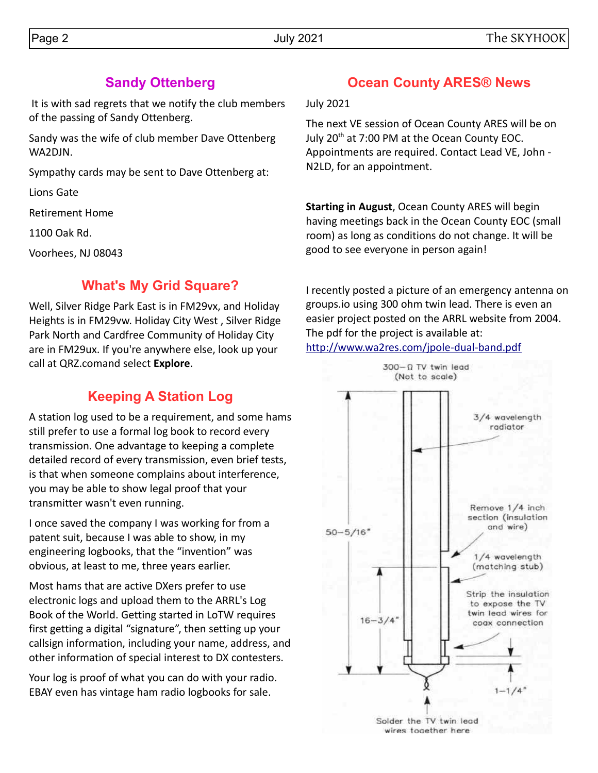## **Sandy Ottenberg**

 It is with sad regrets that we notify the club members of the passing of Sandy Ottenberg.

Sandy was the wife of club member Dave Ottenberg WA2DJN.

Sympathy cards may be sent to Dave Ottenberg at:

Lions Gate

Retirement Home

1100 Oak Rd.

Voorhees, NJ 08043

## **What's My Grid Square?**

Well, Silver Ridge Park East is in FM29vx, and Holiday Heights is in FM29vw. Holiday City West , Silver Ridge Park North and Cardfree Community of Holiday City are in FM29ux. If you're anywhere else, look up your call at QRZ.comand select **Explore**.

# **Keeping A Station Log**

A station log used to be a requirement, and some hams still prefer to use a formal log book to record every transmission. One advantage to keeping a complete detailed record of every transmission, even brief tests, is that when someone complains about interference, you may be able to show legal proof that your transmitter wasn't even running.

I once saved the company I was working for from a patent suit, because I was able to show, in my engineering logbooks, that the "invention" was obvious, at least to me, three years earlier.

Most hams that are active DXers prefer to use electronic logs and upload them to the ARRL's Log Book of the World. Getting started in LoTW requires first getting a digital "signature", then setting up your callsign information, including your name, address, and other information of special interest to DX contesters.

Your log is proof of what you can do with your radio. EBAY even has vintage ham radio logbooks for sale.

# **Ocean County ARES® News**

July 2021

The next VE session of Ocean County ARES will be on July 20<sup>th</sup> at 7:00 PM at the Ocean County EOC. Appointments are required. Contact Lead VE, John - N2LD, for an appointment.

**Starting in August**, Ocean County ARES will begin having meetings back in the Ocean County EOC (small room) as long as conditions do not change. It will be good to see everyone in person again!

I recently posted a picture of an emergency antenna on groups.io using 300 ohm twin lead. There is even an easier project posted on the ARRL website from 2004. The pdf for the project is available at: <http://www.wa2res.com/jpole-dual-band.pdf>

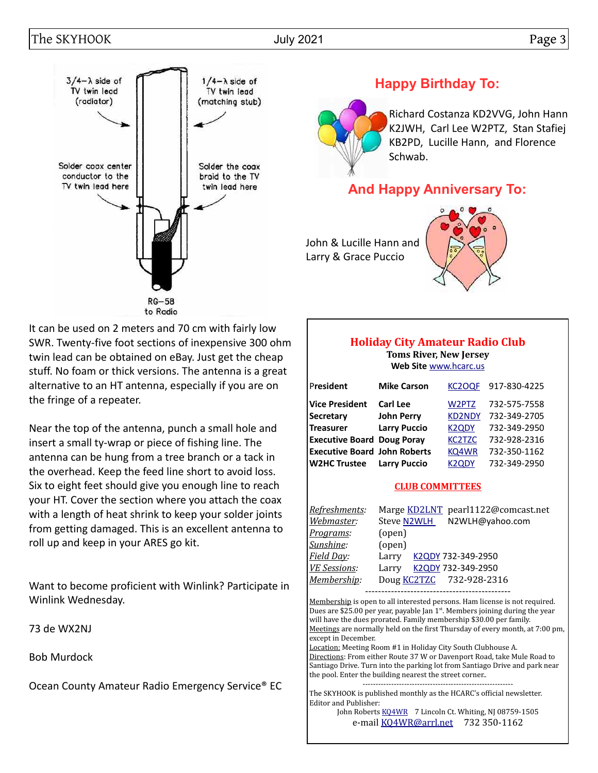## The SKYHOOK Dage 3



## **Happy Birthday To:**

Richard Costanza KD2VVG, John Hann K2JWH, Carl Lee W2PTZ, Stan Stafiej KB2PD, Lucille Hann, and Florence Schwab.

## **And Happy Anniversary To:**

John & Lucille Hann and Larry & Grace Puccio



It can be used on 2 meters and 70 cm with fairly low SWR. Twenty-five foot sections of inexpensive 300 ohm twin lead can be obtained on eBay. Just get the cheap stuff. No foam or thick versions. The antenna is a great alternative to an HT antenna, especially if you are on the fringe of a repeater.

Near the top of the antenna, punch a small hole and insert a small ty-wrap or piece of fishing line. The antenna can be hung from a tree branch or a tack in the overhead. Keep the feed line short to avoid loss. Six to eight feet should give you enough line to reach your HT. Cover the section where you attach the coax with a length of heat shrink to keep your solder joints from getting damaged. This is an excellent antenna to roll up and keep in your ARES go kit.

Want to become proficient with Winlink? Participate in Winlink Wednesday.

73 de WX2NJ

Bob Murdock

Ocean County Amateur Radio Emergency Service® EC

#### **Holiday City Amateur Radio Club Toms River, New Jersey Web Site** [www.hcarc.us](http://www.hcarc.us/)

| President                           | <b>Mike Carson</b>  | <b>KC2OQF</b>      | 917-830-4225 |
|-------------------------------------|---------------------|--------------------|--------------|
| <b>Vice President</b>               | <b>Carl Lee</b>     | W2PTZ              | 732-575-7558 |
| Secretary                           | <b>John Perry</b>   | <b>KD2NDY</b>      | 732-349-2705 |
| <b>Treasurer</b>                    | <b>Larry Puccio</b> | K <sub>2</sub> ODY | 732-349-2950 |
| <b>Executive Board Doug Poray</b>   |                     | <b>KC2TZC</b>      | 732-928-2316 |
| <b>Executive Board John Roberts</b> |                     | KQ4WR              | 732-350-1162 |
| <b>W2HC Trustee</b>                 | <b>Larry Puccio</b> | K <sub>2</sub> ODY | 732-349-2950 |

#### **CLUB COMMITTEES**

| <u> Refreshments:</u> | Marge KD2LNT pearl1122@comcast.net |
|-----------------------|------------------------------------|
| Webmaster:            | Steve N2WLH<br>N2WLH@yahoo.com     |
| <u>Programs</u> :     | (open)                             |
| Sunshine:             | (open)                             |
| <u>Field Day:</u>     | K2QDY 732-349-2950<br>Larry        |
| VE Sessions:          | K2QDY 732-349-2950<br>Larry        |
| Membership:           | Doug KC2TZC 732-928-2316           |
|                       |                                    |

Membership is open to all interested persons. Ham license is not required. Dues are \$25.00 per year, payable Jan  $1^{st}$ . Members joining during the year will have the dues prorated. Family membership \$30.00 per family. Meetings are normally held on the first Thursday of every month, at 7:00 pm, except in December.

Location: Meeting Room #1 in Holiday City South Clubhouse A. Directions: From either Route 37 W or Davenport Road, take Mule Road to Santiago Drive. Turn into the parking lot from Santiago Drive and park near the pool. Enter the building nearest the street corner.. ----------------------------------------------------------

The SKYHOOK is published monthly as the HCARC's official newsletter. Editor and Publisher:

John Roberts [KQ4WR](mailto:kq4wr@arrl.net) 7 Lincoln Ct. Whiting, NJ 08759-1505 e-mail [KQ4WR@arrl.net](mailto:KQ4WR@arrl.net) 732 350-1162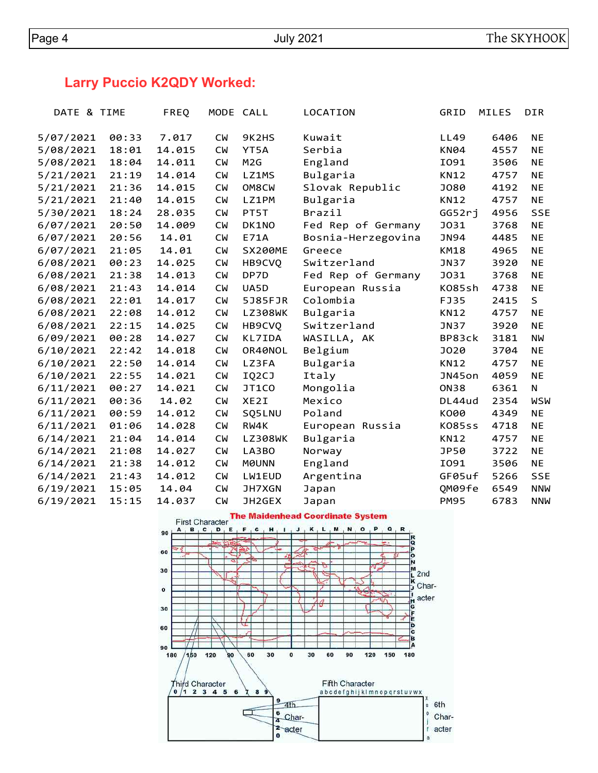# **Larry Puccio K2QDY Worked:**

| DATE & TIME |       | FREQ   | MODE CALL |                  | LOCATION           | GRID          | <b>MILES</b> | <b>DIR</b> |
|-------------|-------|--------|-----------|------------------|--------------------|---------------|--------------|------------|
| 5/07/2021   | 00:33 | 7.017  | СW        | 9K2HS            | Kuwait             | LL49          | 6406         | NE         |
| 5/08/2021   | 18:01 | 14.015 | <b>CM</b> | YT5A             | Serbia             | <b>KN04</b>   | 4557         | <b>NE</b>  |
| 5/08/2021   | 18:04 | 14.011 | <b>CW</b> | M <sub>2</sub> G | England            | I091          | 3506         | <b>NE</b>  |
| 5/21/2021   | 21:19 | 14.014 | <b>CM</b> | LZ1MS            | Bulgaria           | <b>KN12</b>   | 4757         | <b>NE</b>  |
| 5/21/2021   | 21:36 | 14.015 | <b>CM</b> | OM8CW            | Slovak Republic    | J080          | 4192         | <b>NE</b>  |
| 5/21/2021   | 21:40 | 14.015 | <b>CM</b> | LZ1PM            | Bulgaria           | KN12          | 4757         | <b>NE</b>  |
| 5/30/2021   | 18:24 | 28.035 | <b>CM</b> | PT5T             | Brazil             | GG52rj        | 4956         | <b>SSE</b> |
| 6/07/2021   | 20:50 | 14.009 | <b>CM</b> | DK1NO            | Fed Rep of Germany | <b>J031</b>   | 3768         | <b>NE</b>  |
| 6/07/2021   | 20:56 | 14.01  | <b>CW</b> | E71A             | Bosnia-Herzegovina | <b>JN94</b>   | 4485         | <b>NE</b>  |
| 6/07/2021   | 21:05 | 14.01  | <b>CM</b> | SX200ME          | Greece             | <b>KM18</b>   | 4965         | <b>NE</b>  |
| 6/08/2021   | 00:23 | 14.025 | <b>CM</b> | HB9CVQ           | Switzerland        | JN37          | 3920         | NE         |
| 6/08/2021   | 21:38 | 14.013 | <b>CM</b> | DP7D             | Fed Rep of Germany | <b>J031</b>   | 3768         | NE         |
| 6/08/2021   | 21:43 | 14.014 | <b>CM</b> | UA5D             | European Russia    | K085sh        | 4738         | <b>NE</b>  |
| 6/08/2021   | 22:01 | 14.017 | <b>CM</b> | 5J85FJR          | Colombia           | FJ35          | 2415         | S          |
| 6/08/2021   | 22:08 | 14.012 | <b>CM</b> | LZ308WK          | Bulgaria           | KN12          | 4757         | <b>NE</b>  |
| 6/08/2021   | 22:15 | 14.025 | <b>CM</b> | HB9CVQ           | Switzerland        | <b>JN37</b>   | 3920         | <b>NE</b>  |
| 6/09/2021   | 00:28 | 14.027 | <b>CM</b> | KL7IDA           | WASILLA, AK        | BP83ck        | 3181         | ΝW         |
| 6/10/2021   | 22:42 | 14.018 | <b>CM</b> | OR40NOL          | Belgium            | J020          | 3704         | NE         |
| 6/10/2021   | 22:50 | 14.014 | <b>CM</b> | LZ3FA            | Bulgaria           | <b>KN12</b>   | 4757         | <b>NE</b>  |
| 6/10/2021   | 22:55 | 14.021 | <b>CM</b> | IQ2CJ            | Italy              | JN45on        | 4059         | <b>NE</b>  |
| 6/11/2021   | 00:27 | 14.021 | <b>CM</b> | JT1CO            | Mongolia           | <b>ON38</b>   | 6361         | N          |
| 6/11/2021   | 00:36 | 14.02  | <b>CM</b> | XE2I             | Mexico             | DL44ud        | 2354         | WSW        |
| 6/11/2021   | 00:59 | 14.012 | <b>CM</b> | SQ5LNU           | Poland             | K000          | 4349         | NE         |
| 6/11/2021   | 01:06 | 14.028 | <b>CW</b> | RW4K             | European Russia    | <b>KO85ss</b> | 4718         | <b>NE</b>  |
| 6/14/2021   | 21:04 | 14.014 | <b>CW</b> | LZ308WK          | Bulgaria           | <b>KN12</b>   | 4757         | <b>NE</b>  |
| 6/14/2021   | 21:08 | 14.027 | <b>CM</b> | LA3BO            | Norway             | JP50          | 3722         | NE         |
| 6/14/2021   | 21:38 | 14.012 | <b>CM</b> | <b>MOUNN</b>     | England            | I091          | 3506         | ΝE         |
| 6/14/2021   | 21:43 | 14.012 | <b>CM</b> | LW1EUD           | Argentina          | GF05uf        | 5266         | <b>SSE</b> |
| 6/19/2021   | 15:05 | 14.04  | <b>CM</b> | JH7XGN           | Japan              | QM09fe        | 6549         | <b>NNW</b> |
| 6/19/2021   | 15:15 | 14.037 | <b>CW</b> | JH2GEX           | Japan              | <b>PM95</b>   | 6783         | <b>NNW</b> |

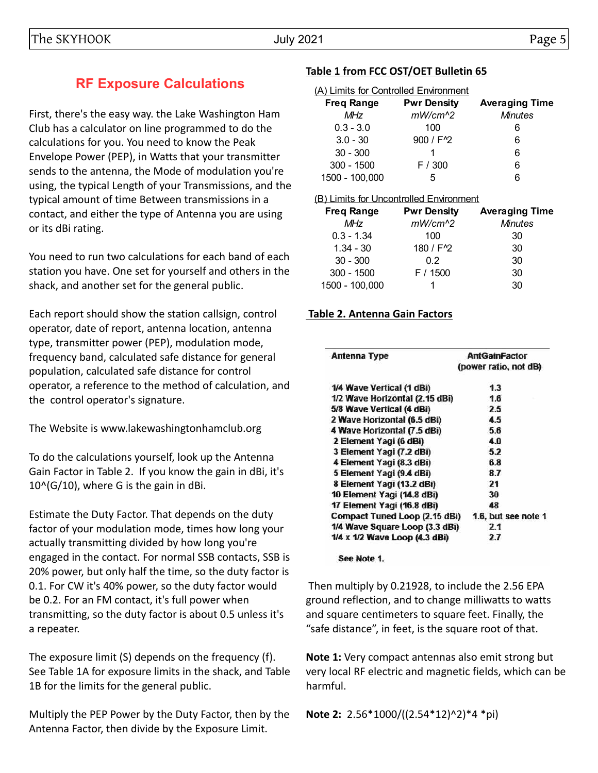# **RF Exposure Calculations**

First, there's the easy way. the Lake Washington Ham Club has a calculator on line programmed to do the calculations for you. You need to know the Peak Envelope Power (PEP), in Watts that your transmitter sends to the antenna, the Mode of modulation you're using, the typical Length of your Transmissions, and the typical amount of time Between transmissions in a contact, and either the type of Antenna you are using or its dBi rating.

You need to run two calculations for each band of each station you have. One set for yourself and others in the shack, and another set for the general public.

Each report should show the station callsign, control operator, date of report, antenna location, antenna type, transmitter power (PEP), modulation mode, frequency band, calculated safe distance for general population, calculated safe distance for control operator, a reference to the method of calculation, and the control operator's signature.

The Website is www.lakewashingtonhamclub.org

To do the calculations yourself, look up the Antenna Gain Factor in Table 2. If you know the gain in dBi, it's  $10^{6}$ (G/10), where G is the gain in dBi.

Estimate the Duty Factor. That depends on the duty factor of your modulation mode, times how long your actually transmitting divided by how long you're engaged in the contact. For normal SSB contacts, SSB is 20% power, but only half the time, so the duty factor is 0.1. For CW it's 40% power, so the duty factor would be 0.2. For an FM contact, it's full power when transmitting, so the duty factor is about 0.5 unless it's a repeater.

The exposure limit (S) depends on the frequency (f). See Table 1A for exposure limits in the shack, and Table 1B for the limits for the general public.

Multiply the PEP Power by the Duty Factor, then by the Antenna Factor, then divide by the Exposure Limit.

## **Table 1 from FCC OST/OET Bulletin 65**

| (A) Limits for Controlled Environment |                        |                       |  |  |  |  |  |  |
|---------------------------------------|------------------------|-----------------------|--|--|--|--|--|--|
| <b>Freq Range</b>                     | <b>Pwr Density</b>     | <b>Averaging Time</b> |  |  |  |  |  |  |
| <b>MHz</b>                            | $mW/cm^2$              | <b>Minutes</b>        |  |  |  |  |  |  |
| $0.3 - 3.0$                           | 100                    | 6                     |  |  |  |  |  |  |
| $3.0 - 30$                            | 900 / F <sup>1</sup> 2 | 6                     |  |  |  |  |  |  |
| $30 - 300$                            |                        | 6                     |  |  |  |  |  |  |
| $300 - 1500$                          | F / 300                | 6                     |  |  |  |  |  |  |
| 1500 - 100,000                        | 5                      | Բ                     |  |  |  |  |  |  |

#### (B) Limits for Uncontrolled Environment

| <b>Freq Range</b> | <b>Pwr Density</b>     | <b>Averaging Time</b> |
|-------------------|------------------------|-----------------------|
| <b>MHz</b>        | $mW/cm^2$              | <b>Minutes</b>        |
| $0.3 - 1.34$      | 100                    | 30                    |
| $1.34 - 30$       | 180 / F <sup>1</sup> 2 | 30                    |
| $30 - 300$        | 0.2                    | 30                    |
| $300 - 1500$      | F / 1500               | 30                    |
| 1500 - 100,000    |                        | 30                    |

### **Table 2. Antenna Gain Factors**

| Antenna Type                   | <b>AntGainFactor</b>  |
|--------------------------------|-----------------------|
|                                | (power ratio, not dB) |
| 1/4 Wave Vertical (1 dBi)      | 1.3                   |
| 1/2 Wave Horizontal (2.15 dBi) | 1.6                   |
| 5/8 Wave Vertical (4 dBi)      | 2.5                   |
| 2 Wave Horizontal (6.5 dBi)    | 4.5                   |
| 4 Wave Horizontal (7.5 dBi)    | 5.6                   |
| 2 Element Yagi (6 dBi)         | 4.0                   |
| 3 Element Yagi (7.2 dBi)       | 5.2                   |
| 4 Element Yagi (8.3 dBi)       | 6.8                   |
| 5 Element Yagi (9.4 dBi)       | 8.7                   |
| 8 Element Yagi (13.2 dBi)      | 21                    |
| 10 Element Yagi (14.8 dBi)     | 30                    |
| 17 Element Yagi (16.8 dBi)     | 48                    |
| Compact Tuned Loop (2.15 dBi)  | 1.6, but see note 1   |
| 1/4 Wave Square Loop (3.3 dBi) | 2.1                   |
| 1/4 x 1/2 Wave Loop (4.3 dBi)  | 2.7                   |

#### See Note 1.

 Then multiply by 0.21928, to include the 2.56 EPA ground reflection, and to change milliwatts to watts and square centimeters to square feet. Finally, the "safe distance", in feet, is the square root of that.

**Note 1:** Very compact antennas also emit strong but very local RF electric and magnetic fields, which can be harmful.

**Note 2:** 2.56\*1000/((2.54\*12)^2)\*4 \*pi)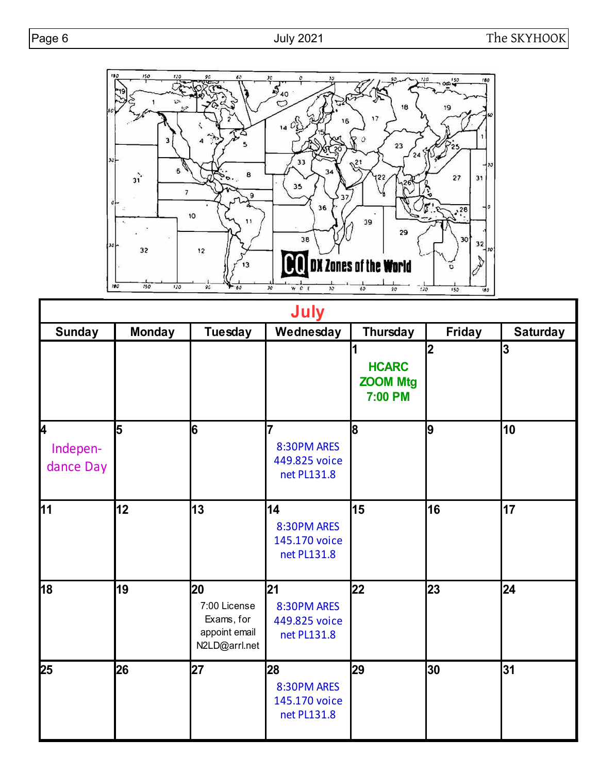

| <b>July</b>                         |               |                                                                    |                                                   |                                                                       |        |                         |  |
|-------------------------------------|---------------|--------------------------------------------------------------------|---------------------------------------------------|-----------------------------------------------------------------------|--------|-------------------------|--|
| <b>Sunday</b>                       | <b>Monday</b> | <b>Tuesday</b>                                                     | Wednesday                                         | Thursday                                                              | Friday | <b>Saturday</b>         |  |
|                                     |               |                                                                    |                                                   | $\overline{\mathbf{1}}$<br><b>HCARC</b><br><b>ZOOM Mtg</b><br>7:00 PM | 2      | $\overline{\mathbf{3}}$ |  |
| <b>l</b> 4<br>Indepen-<br>dance Day | 5             | 6                                                                  | 7<br>8:30PM ARES<br>449.825 voice<br>net PL131.8  | 8                                                                     | 9      | 10                      |  |
| 11                                  | 12            | 13                                                                 | 14<br>8:30PM ARES<br>145.170 voice<br>net PL131.8 | 15                                                                    | 16     | 17                      |  |
| 18                                  | 19            | 20<br>7:00 License<br>Exams, for<br>appoint email<br>N2LD@arrl.net | 21<br>8:30PM ARES<br>449.825 voice<br>net PL131.8 | 22                                                                    | 23     | 24                      |  |
| 25                                  | 26            | 27                                                                 | 28<br>8:30PM ARES<br>145.170 voice<br>net PL131.8 | 29                                                                    | 30     | 31                      |  |